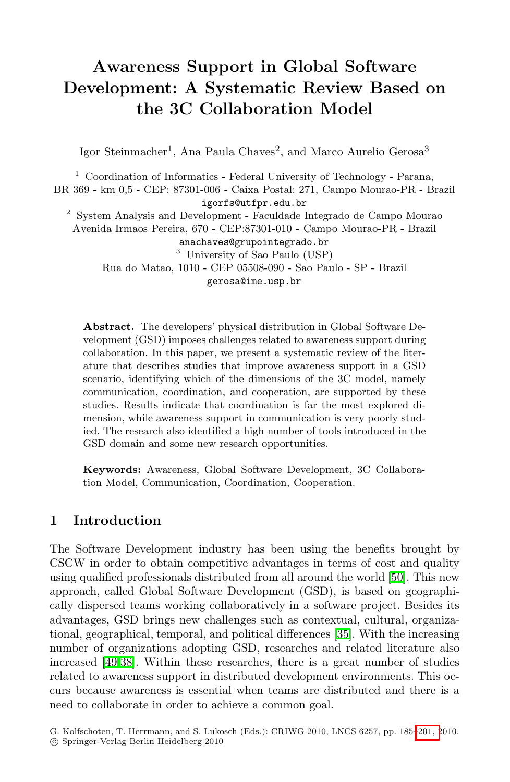# Awareness Support in Global Software Development: A Systematic Review Based on the 3C Collaboration Model

Igor Steinmacher<sup>1</sup>, Ana Paula Chaves<sup>2</sup>, and Marco Aurelio Gerosa<sup>3</sup>

 $1$  Coordination of Informatics - Federal University of Technology - Parana, BR 369 - km 0,5 - CEP: 87301-006 - Caixa Postal: 271, Campo Mourao-PR - Brazil igorfs@utfpr.edu.br  $^{\rm 2}$  System Analysis and Development - Faculdade Integrado de Campo Mourao Avenida Irmaos Pereira, 670 - CEP:87301-010 - Campo Mourao-PR - Brazil anachaves@grupointegrado.br

> <sup>3</sup> University of Sao Paulo (USP) Rua do Matao, 1010 - CEP 05508-090 - Sao Paulo - SP - Brazil gerosa@ime.usp.br

Abstract. The developers' physical distribution in Global Software Development (GSD) imposes challenges related to awareness support during collaboration. In this paper, we present a systematic review of the literature that describes studies that improve awareness support in a GSD scenario, identifying which of the dimensions of the 3C model, namely communication, coordination, and cooperation, are supported by these studies. Results indicate that coordination is far the most explored dimension, while awareness support in communication is very poorly studied. The research also identified a high number of tools introduced in the GSD domain and some new research opportunities.

Keywords: Awareness, Global Software Development, 3C Collaboration Model, Communication, Coordination, Cooperation.

# 1 Introduction

The Software Development industry has been using the benefits brought by CSCW in order to obtain competitive advantages in terms of cost and quality using qualified professionals distributed from all around the world [\[50\]](#page-15-0). This new approach, called Global Software Development (GSD), is based on geographically dispersed teams working collaboratively in a software project. Besides its advantages, GSD brings new challenges such as contextual, cultural, organizational, geographical, temporal, and political differences [\[35\]](#page-15-1). With the increasing number of organizations adopting GSD, researches and related literature also increased [\[49,](#page-15-2)[38\]](#page-15-3). Within these researches, there is a great number of studies related to awareness support in distributed development environments. This occurs because awareness is essential when teams are distributed and there is a need to collaborate in order to achieve a common goal.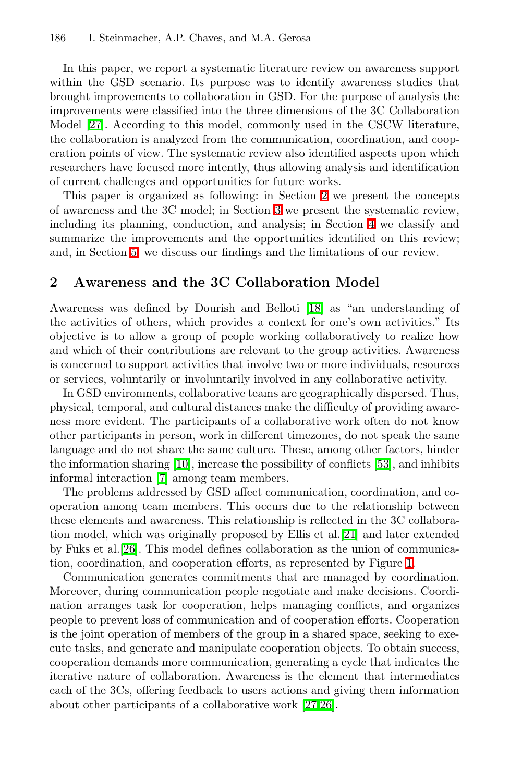In this paper, we report a systematic literature review on awareness support within the GSD scenario. Its purpose was to identify awareness studies that brought improvements to collaboration in GSD. For the purpose of analysis the improvements were classified into the three dimensions of the 3C Collaboration Model **27**. According to this model, commonly used in the CSCW literature, the collaboration is analyzed from the communication, coordination, and cooperation points of view. The systematic review also identified aspects upon which researchers have focused more intently, thus allowing analysis and identification of current challenges and opportunities for future works.

<span id="page-1-0"></span>This paper is organized as following: in Section  $2 \nvert \mathbf{z} \rvert$  we present the concepts of awareness and the  $3C$  model; in Section  $3$  we present the systematic review, including its planning, conduction, and analysis; in Section  $\overline{4}$  we classify and summarize the improvements and the opportunities identified on this review; and, in Section  $\overline{\mathbf{5}}$ , we discuss our findings and the limitations of our review.

# 2 Awareness and the 3C Collaboration Model

Awareness was defined by Dourish and Belloti <sup>[\[18\]](#page-14-1)</sup> as "an understanding of the activities of others, which provides a context for one's own activities." Its objective is to allow a group of people working collaboratively to realize how and which of their contributions are relevant to the group activities. Awareness is concerned to support activities that involve two or more individuals, resources or services, voluntarily or involuntarily involved in any collaborative activity.

In GSD environments, collaborative teams are geographically dispersed. Thus, physical, temporal, and cultural distances make the difficulty of providing awareness more evident. The participants of a collaborative work often do not know other participants in person, work in different timezones, do not speak the same language and do not share the same culture. These, among other factors, hinder the information sharing  $\boxed{10}$ , increase the possibility of conflicts  $\boxed{53}$ , and inhibits informal interaction [\[7\]](#page-13-1) among team members.

The problems addressed by GSD affect communication, coordination, and cooperation among team members. This occurs due to the relationship between these elements and awareness. This relationship is reflected in the 3C collaboration model, which was originally proposed by Ellis et al.[\[21\]](#page-14-2) and later extended by Fuks et al.  $\boxed{26}$ . This model defines collaboration as the union of communication, coordination, and cooperation efforts, as represented by Figure  $\mathbb{I}$ .

Communication generates commitments that are managed by coordination. Moreover, during communication people negotiate and make decisions. Coordination arranges task for cooperation, helps managing conflicts, and organizes people to prevent loss of communication and of cooperation efforts. Cooperation is the joint operation of members of the group in a shared space, seeking to execute tasks, and generate and manipulate cooperation objects. To obtain success, cooperation demands more communication, generating a cycle that indicates the iterative nature of collaboration. Awareness is the element that intermediates each of the 3Cs, offering feedback to users actions and giving them information about other participants of a collaborative work  $\boxed{27,26}$ .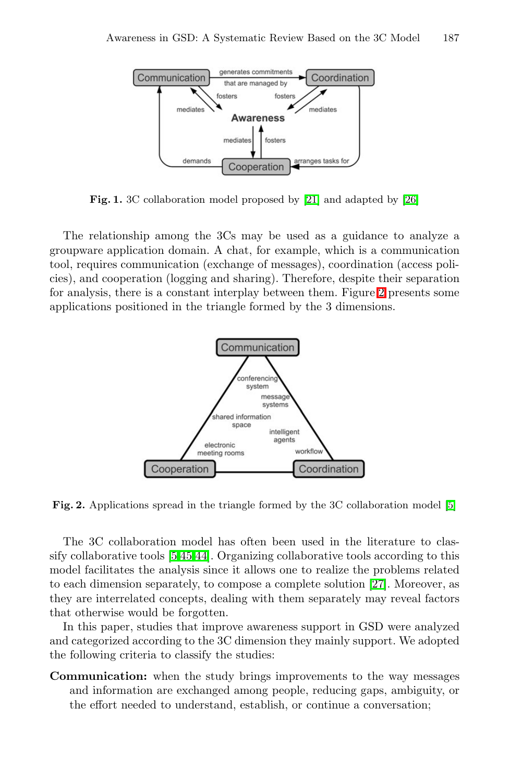<span id="page-2-0"></span>

Fig. 1. 3C collaboration model proposed by [\[21\]](#page-14-2) and adapted by [\[26\]](#page-14-3)

The relationship among the 3Cs may be used as a guidance to analyze a groupware application domain. A chat, for example, which is a communication tool, requires communication (exchange of messages), coordination (access policies), and cooperation (logging and sharing). Therefore, despite their separation for analysis, there is a constant interplay between them. Figure  $\overline{2}$  presents some applications positioned in the triangle formed by the 3 dimensions.

<span id="page-2-1"></span>

Fig. 2. Applications spread in the triangle formed by the 3C collaboration model [\[5\]](#page-13-2)

The 3C collaboration model has often been used in the literature to classify collaborative tools  $\boxed{5,45,44}$  $\boxed{5,45,44}$  $\boxed{5,45,44}$ . Organizing collaborative tools according to this model facilitates the analysis since it allows one to realize the problems related to each dimension separately, to compose a complete solution [\[27\]](#page-14-0). Moreover, as they are interrelated concepts, dealing with them separately may reveal factors that otherwise would be forgotten.

In this paper, studies that improve awareness support in GSD were analyzed and categorized according to the 3C dimension they mainly support. We adopted the following criteria to classify the studies:

Communication: when the study brings improvements to the way messages and information are exchanged among people, reducing gaps, ambiguity, or the effort needed to understand, establish, or continue a conversation;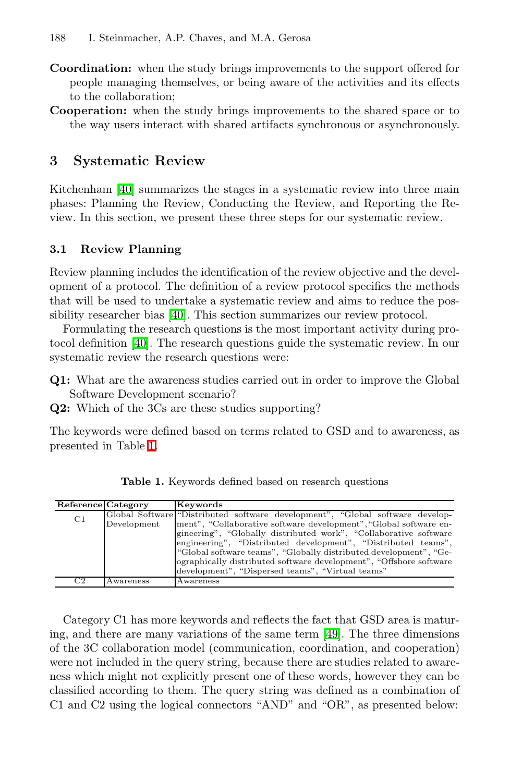- <span id="page-3-0"></span>Coordination: when the study brings improvements to the support offered for people managing themselves, or being aware of the activities and its effects to the collaboration;
- <span id="page-3-2"></span>Cooperation: when the study brings improvements to the shared space or to the way users interact with shared artifacts synchronous or asynchronously.

# 3 Systematic Review

Kitchenham **[\[40\]](#page-15-6)** summarizes the stages in a systematic review into three main phases: Planning the Review, Conducting the Review, and Reporting the Review. In this section, we present these three steps for our systematic review.

#### 3.1 Review Planning

Review planning includes the identification of the review objective and the development of a protocol. The definition of a review protocol specifies the methods that will be used to undertake a systematic review and aims to reduce the possibility researcher bias  $[40]$ . This section summarizes our review protocol.

Formulating the research questions is the most important activity during protocol definition [\[40\]](#page-15-6). The research questions guide the systematic review. In our systematic review the research questions were:

Q1: What are the awareness studies carried out in order to improve the Global Software Development scenario?

Q2: Which of the 3Cs are these studies supporting?

The keywords were defined based on terms related to GSD and to awareness, as presented in Table [1.](#page-3-1)

| Reference Category |             | Keywords                                                                      |
|--------------------|-------------|-------------------------------------------------------------------------------|
| C <sub>1</sub>     |             | Global Software "Distributed software development", "Global software develop- |
|                    | Development | ment", "Collaborative software development", "Global software en-             |
|                    |             | gineering", "Globally distributed work", "Collaborative software              |
|                    |             | engineering", "Distributed development", "Distributed teams",                 |
|                    |             | "Global software teams", "Globally distributed development", "Ge-             |
|                    |             | ographically distributed software development", "Offshore software            |
|                    |             | development", "Dispersed teams", "Virtual teams"                              |
| C <sub>2</sub>     | Awareness   | Awareness                                                                     |

<span id="page-3-1"></span>Table 1. Keywords defined based on research questions

Category C1 has more keywords and reflects the fact that GSD area is maturing, and there are many variations of the same term  $[49]$ . The three dimensions of the 3C collaboration model (communication, coordination, and cooperation) were not included in the query string, because there are studies related to awareness which might not explicitly present one of these words, however they can be classified according to them. The query string was defined as a combination of C1 and C2 using the logical connectors "AND" and "OR", as presented below: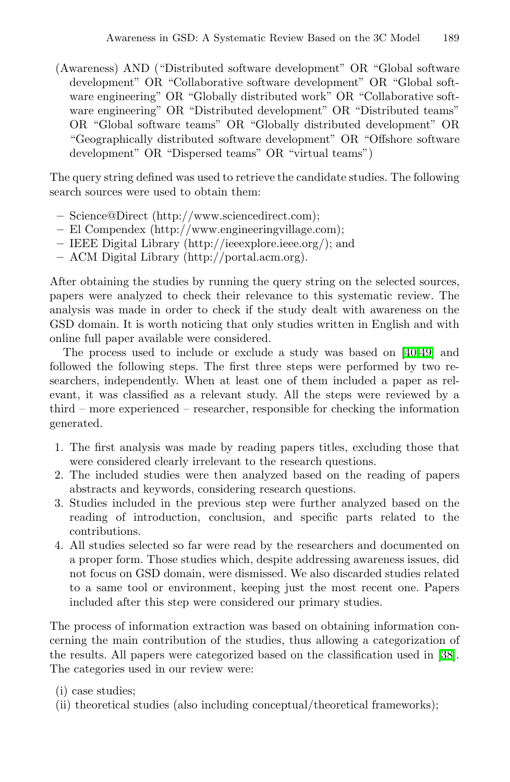(Awareness) AND ("Distributed software development" OR "Global software development" OR "Collaborative software development" OR "Global software engineering" OR "Globally distributed work" OR "Collaborative software engineering" OR "Distributed development" OR "Distributed teams" OR "Global software teams" OR "Globally distributed development" OR "Geographically distributed software development" OR "Offshore software development" OR "Dispersed teams" OR "virtual teams")

The query string defined was used to retrieve the candidate studies. The following search sources were used to obtain them:

- Science@Direct (http://www.sciencedirect.com);
- El Compendex (http://www.engineeringvillage.com);
- IEEE Digital Library (http://ieeexplore.ieee.org/); and
- ACM Digital Library (http://portal.acm.org).

After obtaining the studies by running the query string on the selected sources, papers were analyzed to check their relevance to this systematic review. The analysis was made in order to check if the study dealt with awareness on the GSD domain. It is worth noticing that only studies written in English and with online full paper available were considered.

The process used to include or exclude a study was based on [\[40](#page-15-6)[,49\]](#page-15-2) and followed the following steps. The first three steps were performed by two researchers, independently. When at least one of them included a paper as relevant, it was classified as a relevant study. All the steps were reviewed by a third – more experienced – researcher, responsible for checking the information generated.

- 1. The first analysis was made by reading papers titles, excluding those that were considered clearly irrelevant to the research questions.
- 2. The included studies were then analyzed based on the reading of papers abstracts and keywords, considering research questions.
- 3. Studies included in the previous step were further analyzed based on the reading of introduction, conclusion, and specific parts related to the contributions.
- 4. All studies selected so far were read by the researchers and documented on a proper form. Those studies which, despite addressing awareness issues, did not focus on GSD domain, were dismissed. We also discarded studies related to a same tool or environment, keeping just the most recent one. Papers included after this step were considered our primary studies.

The process of information extraction was based on obtaining information concerning the main contribution of the studies, thus allowing a categorization of the results. All papers were categorized based on the classification used in [\[38\]](#page-15-3). The categories used in our review were:

- (i) case studies;
- (ii) theoretical studies (also including conceptual/theoretical frameworks);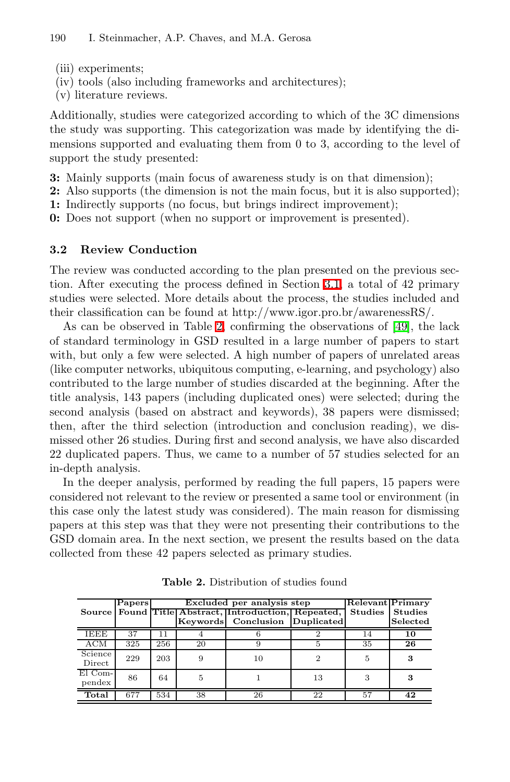- (iii) experiments;
- (iv) tools (also including frameworks and architectures);
- (v) literature reviews.

Additionally, studies were categorized according to which of the 3C dimensions the study was supporting. This categorization was made by identifying the dimensions supported and evaluating them from 0 to 3, according to the level of support the study presented:

3: Mainly supports (main focus of awareness study is on that dimension);

- 2: Also supports (the dimension is not the main focus, but it is also supported);
- 1: Indirectly supports (no focus, but brings indirect improvement);

0: Does not support (when no support or improvement is presented).

## 3.2 Review Conduction

The review was conducted according to the plan presented on the previous section. After executing the process defined in Section  $3.1$ , a total of 42 primary studies were selected. More details about the process, the studies included and their classification can be found at http://www.igor.pro.br/awarenessRS/.

As can be observed in Table  $\overline{2}$ , confirming the observations of  $\overline{49}$ , the lack of standard terminology in GSD resulted in a large number of papers to start with, but only a few were selected. A high number of papers of unrelated areas (like computer networks, ubiquitous computing, e-learning, and psychology) also contributed to the large number of studies discarded at the beginning. After the title analysis, 143 papers (including duplicated ones) were selected; during the second analysis (based on abstract and keywords), 38 papers were dismissed; then, after the third selection (introduction and conclusion reading), we dismissed other 26 studies. During first and second analysis, we have also discarded 22 duplicated papers. Thus, we came to a number of 57 studies selected for an in-depth analysis.

In the deeper analysis, performed by reading the full papers, 15 papers were considered not relevant to the review or presented a same tool or environment (in this case only the latest study was considered). The main reason for dismissing papers at this step was that they were not presenting their contributions to the GSD domain area. In the next section, we present the results based on the data collected from these 42 papers selected as primary studies.

|                   | Papers | Excluded per analysis step |    |                                               |    | <b>Relevant Primary</b> |                |
|-------------------|--------|----------------------------|----|-----------------------------------------------|----|-------------------------|----------------|
| <b>Source</b>     |        |                            |    | Found Title Abstract, Introduction, Repeated, |    | <b>Studies</b>          | <b>Studies</b> |
|                   |        |                            |    | Keywords Conclusion Duplicated                |    |                         | Selected       |
| IEEE              | 37     |                            |    |                                               |    |                         | 10             |
| ACM               | 325    | 256                        | 20 |                                               |    | 35                      | 26             |
| Science<br>Direct | 229    | 203                        | 9  | 10                                            |    | 5                       | 3              |
| El Com-<br>pendex | 86     | 64                         | 5  |                                               | 13 |                         | 3              |
| Total             | 677    | 534                        | 38 | 26                                            | 22 | 57                      | 42             |

<span id="page-5-0"></span>Table 2. Distribution of studies found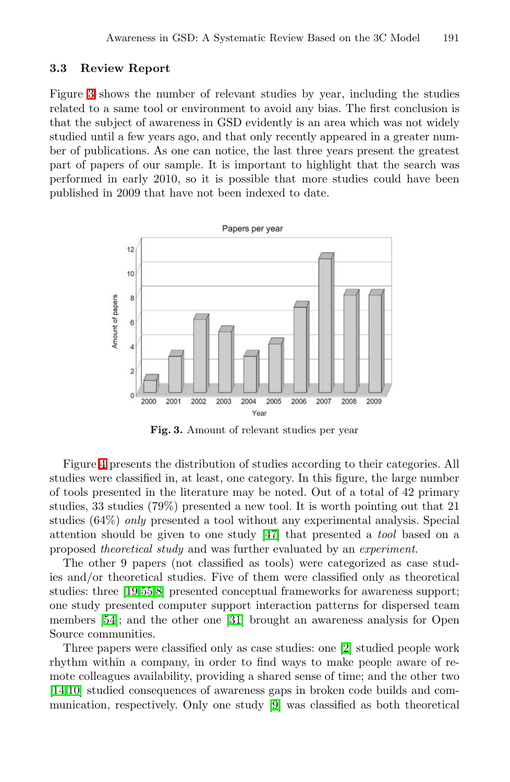### 3.3 Review Report

Figure  $\bar{S}$  shows the number of relevant studies by year, including the studies related to a same tool or environment to avoid any bias. The first conclusion is that the subject of awareness in GSD evidently is an area which was not widely studied until a few years ago, and that only recently appeared in a greater number of publications. As one can notice, the last three years present the greatest part of papers of our sample. It is important to highlight that the search was performed in early 2010, so it is possible that more studies could have been published in 2009 that have not been indexed to date.



<span id="page-6-0"></span>Fig. 3. Amount of relevant studies per year

Figure  $\overline{4}$  presents the distribution of studies according to their categories. All studies were classified in, at least, one category. In this figure, the large number of tools presented in the literature may be noted. Out of a total of 42 primary studies, 33 studies (79%) presented a new tool. It is worth pointing out that 21 studies (64%) *only* presented a tool without any experimental analysis. Special attention should be given to one study [\[47\]](#page-15-7) that presented a *tool* based on a proposed *theoretical study* and was further evaluated by an *experiment*.

The other 9 papers (not classified as tools) were categorized as case studies and/or theoretical studies. Five of them were classified only as theoretical studies: three [\[19](#page-14-4),55.[8\]](#page-13-3) presented conceptual frameworks for awareness support; one study presented computer support interaction patterns for dispersed team members  $[54]$ ; and the other one  $[31]$  brought an awareness analysis for Open Source communities.

Three papers were classified only as case studies: one [\[2\]](#page-12-0) studied people work rhythm within a company, in order to find ways to make people aware of remote colleagues availability, providing a shared sense of time; and the other two [\[14,](#page-13-4)[10\]](#page-13-0) studied consequences of awareness gaps in broken code builds and communication, respectively. Only one study **9** was classified as both theoretical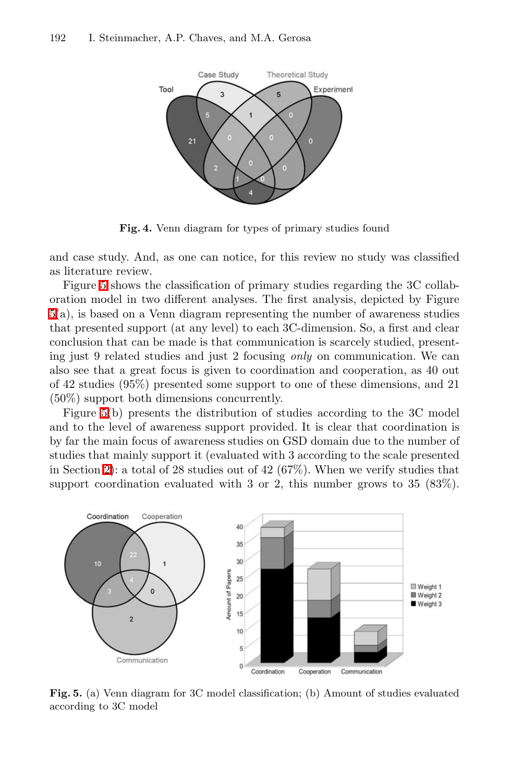<span id="page-7-0"></span>

Fig. 4. Venn diagram for types of primary studies found

and case study. And, as one can notice, for this review no study was classified as literature review.

Figure **5** shows the classification of primary studies regarding the 3C collaboration model in two different analyses. The first analysis, depicted by Figure [5\(](#page-7-1)a), is based on a Venn diagram representing the number of awareness studies that presented support (at any level) to each 3C-dimension. So, a first and clear conclusion that can be made is that communication is scarcely studied, presenting just 9 related studies and just 2 focusing *only* on communication. We can also see that a great focus is given to coordination and cooperation, as 40 out of 42 studies (95%) presented some support to one of these dimensions, and 21 (50%) support both dimensions concurrently.

Figure  $5(b)$  presents the distribution of studies according to the 3C model and to the level of awareness support provided. It is clear that coordination is by far the main focus of awareness studies on GSD domain due to the number of studies that mainly support it (evaluated with 3 according to the scale presented in Section  $\boxed{2}$ : a total of 28 studies out of 42 (67%). When we verify studies that support coordination evaluated with 3 or 2, this number grows to 35 (83%).

<span id="page-7-1"></span>

Fig. 5. (a) Venn diagram for 3C model classification; (b) Amount of studies evaluated according to 3C model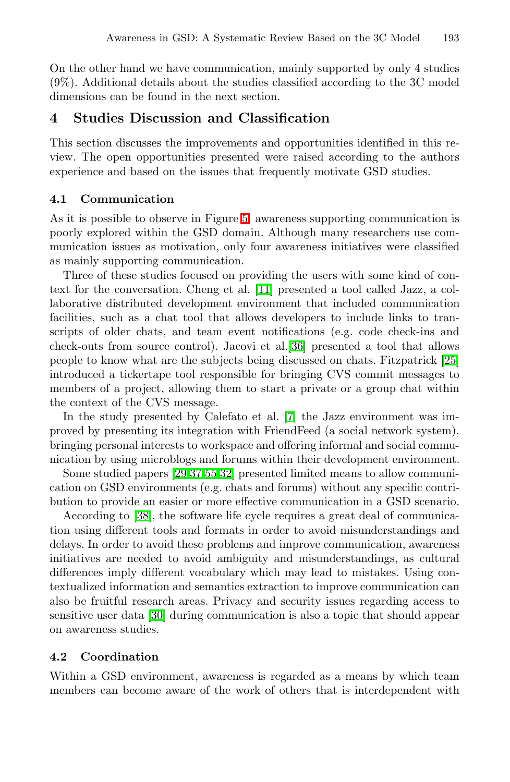<span id="page-8-0"></span>On the other hand we have communication, mainly supported by only 4 studies (9%). Additional details about the studies classified according to the 3C model dimensions can be found in the next section.

## 4 Studies Discussion and Classification

This section discusses the improvements and opportunities identified in this review. The open opportunities presented were raised according to the authors experience and based on the issues that frequently motivate GSD studies.

## 4.1 Communication

As it is possible to observe in Figure  $5$ , awareness supporting communication is poorly explored within the GSD domain. Although many researchers use communication issues as motivation, only four awareness initiatives were classified as mainly supporting communication.

Three of these studies focused on providing the users with some kind of context for the conversation. Cheng et al. [\[11\]](#page-13-6) presented a tool called Jazz, a collaborative distributed development environment that included communication facilities, such as a chat tool that allows developers to include links to transcripts of older chats, and team event notifications (e.g. code check-ins and check-outs from source control). Jacovi et al. **36** presented a tool that allows people to know what are the subjects being discussed on chats. Fitzpatrick [\[25\]](#page-14-6) introduced a tickertape tool responsible for bringing CVS commit messages to members of a project, allowing them to start a private or a group chat within the context of the CVS message.

In the study presented by Calefato et al.  $\boxed{7}$  the Jazz environment was improved by presenting its integration with FriendFeed (a social network system), bringing personal interests to workspace and offering informal and social communication by using microblogs and forums within their development environment.

Some studied papers  $[29,37,55,32]$  $[29,37,55,32]$  $[29,37,55,32]$  $[29,37,55,32]$  presented limited means to allow communication on GSD environments (e.g. chats and forums) without any specific contribution to provide an easier or more effective communication in a GSD scenario.

<span id="page-8-1"></span>According to [\[38\]](#page-15-3), the software life cycle requires a great deal of communication using different tools and formats in order to avoid misunderstandings and delays. In order to avoid these problems and improve communication, awareness initiatives are needed to avoid ambiguity and misunderstandings, as cultural differences imply different vocabulary which may lead to mistakes. Using contextualized information and semantics extraction to improve communication can also be fruitful research areas. Privacy and security issues regarding access to sensitive user data [\[30\]](#page-14-9) during communication is also a topic that should appear on awareness studies.

## 4.2 Coordination

Within a GSD environment, awareness is regarded as a means by which team members can become aware of the work of others that is interdependent with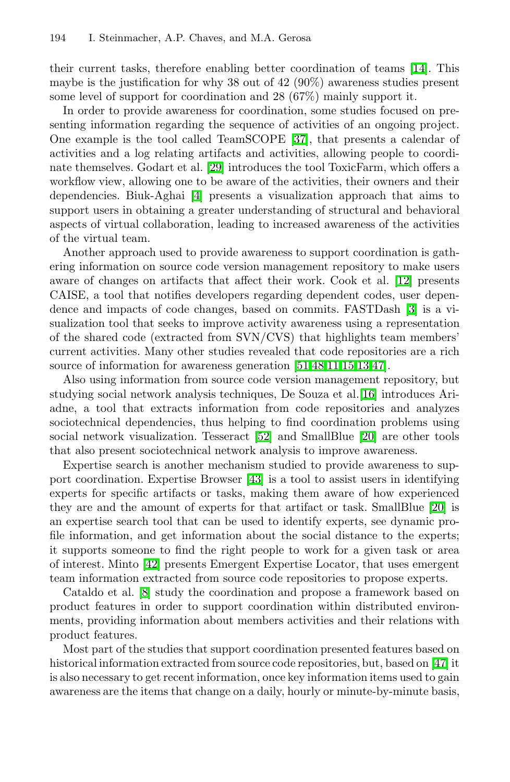their current tasks, therefore enabling better coordination of teams [\[14\]](#page-13-4). This maybe is the justification for why 38 out of 42 (90%) awareness studies present some level of support for coordination and 28 (67%) mainly support it.

In order to provide awareness for coordination, some studies focused on presenting information regarding the sequence of activities of an ongoing project. One example is the tool called TeamSCOPE **37**, that presents a calendar of activities and a log relating artifacts and activities, allowing people to coordinate themselves. Godart et al. **[\[29\]](#page-14-7)** introduces the tool ToxicFarm, which offers a workflow view, allowing one to be aware of the activities, their owners and their dependencies. Biuk-Aghai  $\Box$  presents a visualization approach that aims to support users in obtaining a greater understanding of structural and behavioral aspects of virtual collaboration, leading to increased awareness of the activities of the virtual team.

Another approach used to provide awareness to support coordination is gathering information on source code version management repository to make users aware of changes on artifacts that affect their work. Cook et al. [\[12\]](#page-13-8) presents CAISE, a tool that notifies developers regarding dependent codes, user dependence and impacts of code changes, based on commits. FASTDash [\[3\]](#page-13-9) is a visualization tool that seeks to improve activity awareness using a representation of the shared code (extracted from SVN/CVS) that highlights team members' current activities. Many other studies revealed that code repositories are a rich source of information for awareness generation  $\boxed{51,48,111,15,13,47}$  $\boxed{51,48,111,15,13,47}$  $\boxed{51,48,111,15,13,47}$  $\boxed{51,48,111,15,13,47}$  $\boxed{51,48,111,15,13,47}$  $\boxed{51,48,111,15,13,47}$ .

Also using information from source code version management repository, but studying social network analysis techniques, De Souza et al.<sup>[\[16\]](#page-13-12)</sup> introduces Ariadne, a tool that extracts information from code repositories and analyzes sociotechnical dependencies, thus helping to find coordination problems using social network visualization. Tesseract **[\[52\]](#page-16-4)** and SmallBlue **[\[20\]](#page-14-10)** are other tools that also present sociotechnical network analysis to improve awareness.

Expertise search is another mechanism studied to provide awareness to support coordination. Expertise Browser [\[43\]](#page-15-12) is a tool to assist users in identifying experts for specific artifacts or tasks, making them aware of how experienced they are and the amount of experts for that artifact or task. SmallBlue [\[20\]](#page-14-10) is an expertise search tool that can be used to identify experts, see dynamic profile information, and get information about the social distance to the experts; it supports someone to find the right people to work for a given task or area of interest. Minto  $\boxed{42}$  presents Emergent Expertise Locator, that uses emergent team information extracted from source code repositories to propose experts.

Cataldo et al.  $\boxed{8}$  study the coordination and propose a framework based on product features in order to support coordination within distributed environments, providing information about members activities and their relations with product features.

Most part of the studies that support coordination presented features based on historical information extracted from source code repositories, but, based on  $\boxed{47}$  it is also necessary to get recent information, once key information items used to gain awareness are the items that change on a daily, hourly or minute-by-minute basis,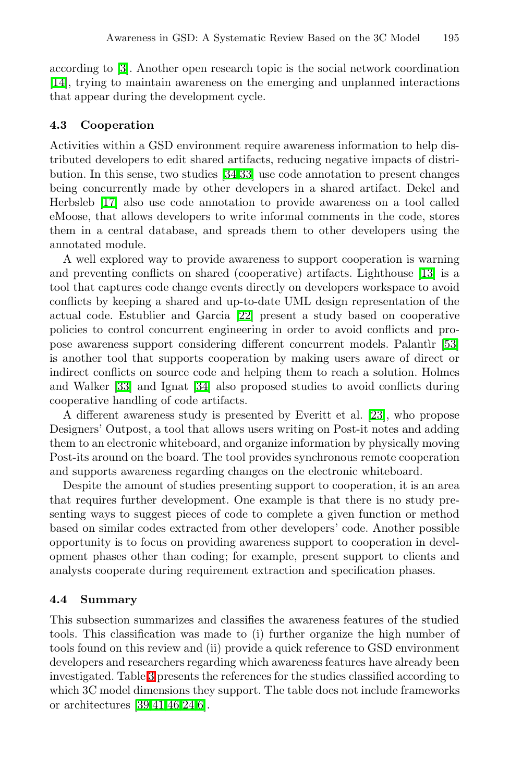according to [\[3\]](#page-13-9). Another open research topic is the social network coordination [\[14\]](#page-13-4), trying to maintain awareness on the emerging and unplanned interactions that appear during the development cycle.

#### 4.3 Cooperation

Activities within a GSD environment require awareness information to help distributed developers to edit shared artifacts, reducing negative impacts of distribution. In this sense, two studies  $34,33$  use code annotation to present changes being concurrently made by other developers in a shared artifact. Dekel and Herbsleb [\[17\]](#page-13-13) also use code annotation to provide awareness on a tool called eMoose, that allows developers to write informal comments in the code, stores them in a central database, and spreads them to other developers using the annotated module.

A well explored way to provide awareness to support cooperation is warning and preventing conflicts on shared (cooperative) artifacts. Lighthouse **13** is a tool that captures code change events directly on developers workspace to avoid conflicts by keeping a shared and up-to-date UML design representation of the actual code. Estublier and Garcia [\[22\]](#page-14-13) present a study based on cooperative policies to control concurrent engineering in order to avoid conflicts and propose awareness support considering different concurrent models. Palantir 53 is another tool that supports cooperation by making users aware of direct or indirect conflicts on source code and helping them to reach a solution. Holmes and Walker **33** and Ignat **34** also proposed studies to avoid conflicts during cooperative handling of code artifacts.

A different awareness study is presented by Everitt et al. [\[23\]](#page-14-14), who propose Designers' Outpost, a tool that allows users writing on Post-it notes and adding them to an electronic whiteboard, and organize information by physically moving Post-its around on the board. The tool provides synchronous remote cooperation and supports awareness regarding changes on the electronic whiteboard.

Despite the amount of studies presenting support to cooperation, it is an area that requires further development. One example is that there is no study presenting ways to suggest pieces of code to complete a given function or method based on similar codes extracted from other developers' code. Another possible opportunity is to focus on providing awareness support to cooperation in development phases other than coding; for example, present support to clients and analysts cooperate during requirement extraction and specification phases.

#### 4.4 Summary

This subsection summarizes and classifies the awareness features of the studied tools. This classification was made to (i) further organize the high number of tools found on this review and (ii) provide a quick reference to GSD environment developers and researchers regarding which awareness features have already been investigated. Table  $\overline{3}$  presents the references for the studies classified according to which 3C model dimensions they support. The table does not include frameworks or architectures  $\boxed{39,41,46,24,6}$  $\boxed{39,41,46,24,6}$  $\boxed{39,41,46,24,6}$  $\boxed{39,41,46,24,6}$  $\boxed{39,41,46,24,6}$ .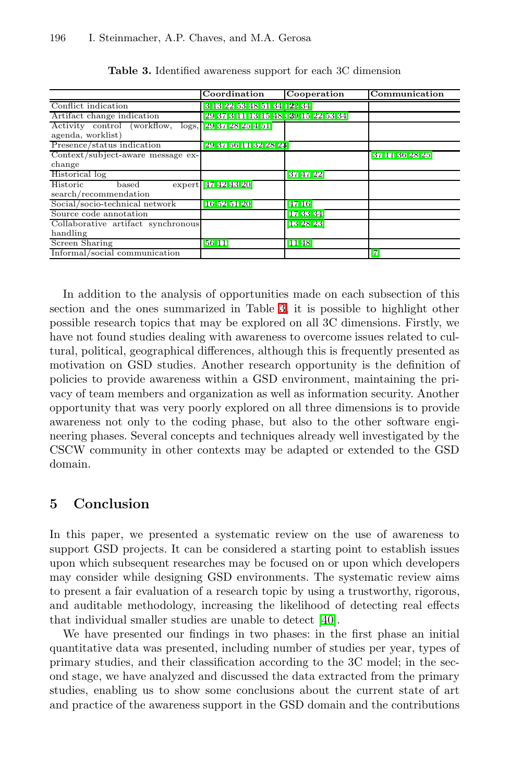|                                    | Coordination                        | Cooperation  | Communication  |
|------------------------------------|-------------------------------------|--------------|----------------|
| Conflict indication                | 8 13 22 53 48 51 34 122 34          |              |                |
| Artifact change indication         | 29 37 3 11 13 15 48 139 15 22 53 34 |              |                |
| Activity control (workflow,        | logs, 29372825451                   |              |                |
| agenda, worklist)                  |                                     |              |                |
| Presence/status indication         | 29 37 56 11 32 28 23                |              |                |
| Context/subject-aware message ex-  |                                     |              | 87 11 86 28 25 |
| change                             |                                     |              |                |
| Historical log                     |                                     | 874722       |                |
| Historic<br>based                  | expert 47424320                     |              |                |
| search/recommendation              |                                     |              |                |
| Social/socio-technical network     | 16 52 51 20                         | 47 16        |                |
| Source code annotation             |                                     | 17 33 34     |                |
| Collaborative artifact synchronous |                                     | 13 28 23     |                |
| handling                           |                                     |              |                |
| Screen Sharing                     | <b>56 11</b>                        | <b>11 48</b> |                |
| Informal/social communication      |                                     |              | 17             |

<span id="page-11-1"></span>Table 3. Identified awareness support for each 3C dimension

<span id="page-11-0"></span>In addition to the analysis of opportunities made on each subsection of this section and the ones summarized in Table  $\mathbb{R}$  it is possible to highlight other possible research topics that may be explored on all 3C dimensions. Firstly, we have not found studies dealing with awareness to overcome issues related to cultural, political, geographical differences, although this is frequently presented as motivation on GSD studies. Another research opportunity is the definition of policies to provide awareness within a GSD environment, maintaining the privacy of team members and organization as well as information security. Another opportunity that was very poorly explored on all three dimensions is to provide awareness not only to the coding phase, but also to the other software engineering phases. Several concepts and techniques already well investigated by the CSCW community in other contexts may be adapted or extended to the GSD domain.

# 5 Conclusion

In this paper, we presented a systematic review on the use of awareness to support GSD projects. It can be considered a starting point to establish issues upon which subsequent researches may be focused on or upon which developers may consider while designing GSD environments. The systematic review aims to present a fair evaluation of a research topic by using a trustworthy, rigorous, and auditable methodology, increasing the likelihood of detecting real effects that individual smaller studies are unable to detect  $[40]$ .

We have presented our findings in two phases: in the first phase an initial quantitative data was presented, including number of studies per year, types of primary studies, and their classification according to the 3C model; in the second stage, we have analyzed and discussed the data extracted from the primary studies, enabling us to show some conclusions about the current state of art and practice of the awareness support in the GSD domain and the contributions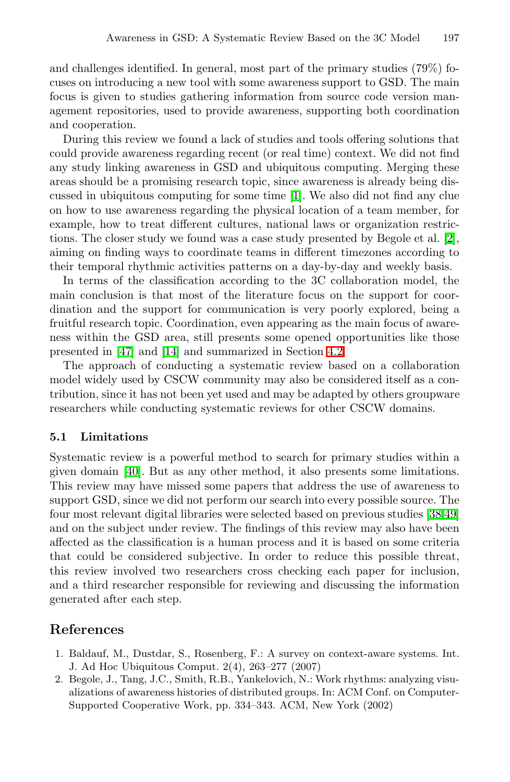and challenges identified. In general, most part of the primary studies (79%) focuses on introducing a new tool with some awareness support to GSD. The main focus is given to studies gathering information from source code version management repositories, used to provide awareness, supporting both coordination and cooperation.

During this review we found a lack of studies and tools offering solutions that could provide awareness regarding recent (or real time) context. We did not find any study linking awareness in GSD and ubiquitous computing. Merging these areas should be a promising research topic, since awareness is already being discussed in ubiquitous computing for some time  $\mathbb{I}$ . We also did not find any clue on how to use awareness regarding the physical location of a team member, for example, how to treat different cultures, national laws or organization restrictions. The closer study we found was a case study presented by Begole et al.  $[2]$ , aiming on finding ways to coordinate teams in different timezones according to their temporal rhythmic activities patterns on a day-by-day and weekly basis.

In terms of the classification according to the 3C collaboration model, the main conclusion is that most of the literature focus on the support for coordination and the support for communication is very poorly explored, being a fruitful research topic. Coordination, even appearing as the main focus of awareness within the GSD area, still presents some opened opportunities like those presented in [\[47\]](#page-15-7) and [\[14\]](#page-13-4) and summarized in Section [4.2.](#page-8-1)

The approach of conducting a systematic review based on a collaboration model widely used by CSCW community may also be considered itself as a contribution, since it has not been yet used and may be adapted by others groupware researchers while conducting systematic reviews for other CSCW domains.

### 5.1 Limitations

<span id="page-12-1"></span>Systematic review is a powerful method to search for primary studies within a given domain  $[40]$ . But as any other method, it also presents some limitations. This review may have missed some papers that address the use of awareness to support GSD, since we did not perform our search into every possible source. The four most relevant digital libraries were selected based on previous studies [\[38](#page-15-3)[,49\]](#page-15-2) and on the subject under review. The findings of this review may also have been affected as the classification is a human process and it is based on some criteria that could be considered subjective. In order to reduce this possible threat, this review involved two researchers cross checking each paper for inclusion, and a third researcher responsible for reviewing and discussing the information generated after each step.

# <span id="page-12-0"></span>References

- 1. Baldauf, M., Dustdar, S., Rosenberg, F.: A survey on context-aware systems. Int. J. Ad Hoc Ubiquitous Comput. 2(4), 263–277 (2007)
- 2. Begole, J., Tang, J.C., Smith, R.B., Yankelovich, N.: Work rhythms: analyzing visualizations of awareness histories of distributed groups. In: ACM Conf. on Computer-Supported Cooperative Work, pp. 334–343. ACM, New York (2002)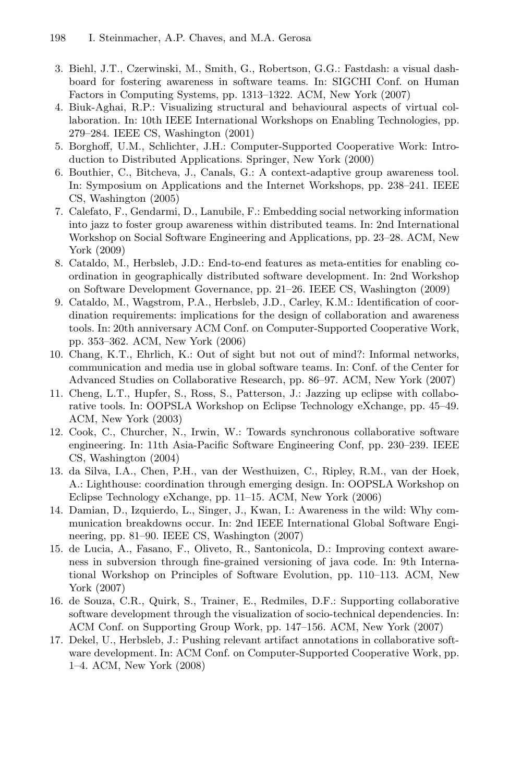- <span id="page-13-14"></span><span id="page-13-9"></span><span id="page-13-7"></span><span id="page-13-2"></span>3. Biehl, J.T., Czerwinski, M., Smith, G., Robertson, G.G.: Fastdash: a visual dashboard for fostering awareness in software teams. In: SIGCHI Conf. on Human Factors in Computing Systems, pp. 1313–1322. ACM, New York (2007)
- <span id="page-13-1"></span>4. Biuk-Aghai, R.P.: Visualizing structural and behavioural aspects of virtual collaboration. In: 10th IEEE International Workshops on Enabling Technologies, pp. 279–284. IEEE CS, Washington (2001)
- <span id="page-13-3"></span>5. Borghoff, U.M., Schlichter, J.H.: Computer-Supported Cooperative Work: Introduction to Distributed Applications. Springer, New York (2000)
- <span id="page-13-5"></span>6. Bouthier, C., Bitcheva, J., Canals, G.: A context-adaptive group awareness tool. In: Symposium on Applications and the Internet Workshops, pp. 238–241. IEEE CS, Washington (2005)
- <span id="page-13-0"></span>7. Calefato, F., Gendarmi, D., Lanubile, F.: Embedding social networking information into jazz to foster group awareness within distributed teams. In: 2nd International Workshop on Social Software Engineering and Applications, pp. 23–28. ACM, New York (2009)
- <span id="page-13-6"></span>8. Cataldo, M., Herbsleb, J.D.: End-to-end features as meta-entities for enabling coordination in geographically distributed software development. In: 2nd Workshop on Software Development Governance, pp. 21–26. IEEE CS, Washington (2009)
- <span id="page-13-8"></span>9. Cataldo, M., Wagstrom, P.A., Herbsleb, J.D., Carley, K.M.: Identification of coordination requirements: implications for the design of collaboration and awareness tools. In: 20th anniversary ACM Conf. on Computer-Supported Cooperative Work, pp. 353–362. ACM, New York (2006)
- <span id="page-13-11"></span>10. Chang, K.T., Ehrlich, K.: Out of sight but not out of mind?: Informal networks, communication and media use in global software teams. In: Conf. of the Center for Advanced Studies on Collaborative Research, pp. 86–97. ACM, New York (2007)
- <span id="page-13-4"></span>11. Cheng, L.T., Hupfer, S., Ross, S., Patterson, J.: Jazzing up eclipse with collaborative tools. In: OOPSLA Workshop on Eclipse Technology eXchange, pp. 45–49. ACM, New York (2003)
- <span id="page-13-10"></span>12. Cook, C., Churcher, N., Irwin, W.: Towards synchronous collaborative software engineering. In: 11th Asia-Pacific Software Engineering Conf, pp. 230–239. IEEE CS, Washington (2004)
- <span id="page-13-12"></span>13. da Silva, I.A., Chen, P.H., van der Westhuizen, C., Ripley, R.M., van der Hoek, A.: Lighthouse: coordination through emerging design. In: OOPSLA Workshop on Eclipse Technology eXchange, pp. 11–15. ACM, New York (2006)
- <span id="page-13-13"></span>14. Damian, D., Izquierdo, L., Singer, J., Kwan, I.: Awareness in the wild: Why communication breakdowns occur. In: 2nd IEEE International Global Software Engineering, pp. 81–90. IEEE CS, Washington (2007)
- 15. de Lucia, A., Fasano, F., Oliveto, R., Santonicola, D.: Improving context awareness in subversion through fine-grained versioning of java code. In: 9th International Workshop on Principles of Software Evolution, pp. 110–113. ACM, New York (2007)
- 16. de Souza, C.R., Quirk, S., Trainer, E., Redmiles, D.F.: Supporting collaborative software development through the visualization of socio-technical dependencies. In: ACM Conf. on Supporting Group Work, pp. 147–156. ACM, New York (2007)
- 17. Dekel, U., Herbsleb, J.: Pushing relevant artifact annotations in collaborative software development. In: ACM Conf. on Computer-Supported Cooperative Work, pp. 1–4. ACM, New York (2008)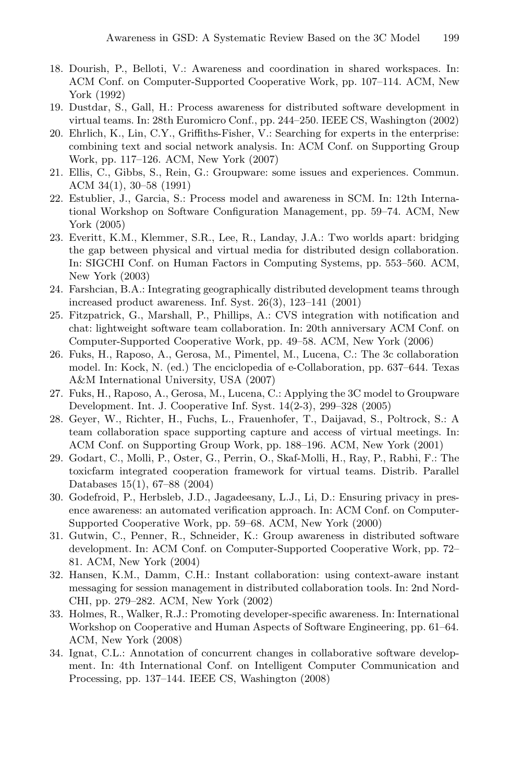- <span id="page-14-13"></span><span id="page-14-10"></span><span id="page-14-4"></span><span id="page-14-2"></span><span id="page-14-1"></span>18. Dourish, P., Belloti, V.: Awareness and coordination in shared workspaces. In: ACM Conf. on Computer-Supported Cooperative Work, pp. 107–114. ACM, New York (1992)
- <span id="page-14-14"></span>19. Dustdar, S., Gall, H.: Process awareness for distributed software development in virtual teams. In: 28th Euromicro Conf., pp. 244–250. IEEE CS, Washington (2002)
- 20. Ehrlich, K., Lin, C.Y., Griffiths-Fisher, V.: Searching for experts in the enterprise: combining text and social network analysis. In: ACM Conf. on Supporting Group Work, pp. 117–126. ACM, New York (2007)
- <span id="page-14-15"></span>21. Ellis, C., Gibbs, S., Rein, G.: Groupware: some issues and experiences. Commun. ACM 34(1), 30–58 (1991)
- <span id="page-14-6"></span>22. Estublier, J., Garcia, S.: Process model and awareness in SCM. In: 12th International Workshop on Software Configuration Management, pp. 59–74. ACM, New York (2005)
- <span id="page-14-3"></span>23. Everitt, K.M., Klemmer, S.R., Lee, R., Landay, J.A.: Two worlds apart: bridging the gap between physical and virtual media for distributed design collaboration. In: SIGCHI Conf. on Human Factors in Computing Systems, pp. 553–560. ACM, New York (2003)
- <span id="page-14-16"></span><span id="page-14-0"></span>24. Farshcian, B.A.: Integrating geographically distributed development teams through increased product awareness. Inf. Syst. 26(3), 123–141 (2001)
- 25. Fitzpatrick, G., Marshall, P., Phillips, A.: CVS integration with notification and chat: lightweight software team collaboration. In: 20th anniversary ACM Conf. on Computer-Supported Cooperative Work, pp. 49–58. ACM, New York (2006)
- <span id="page-14-7"></span>26. Fuks, H., Raposo, A., Gerosa, M., Pimentel, M., Lucena, C.: The 3c collaboration model. In: Kock, N. (ed.) The enciclopedia of e-Collaboration, pp. 637–644. Texas A&M International University, USA (2007)
- <span id="page-14-9"></span>27. Fuks, H., Raposo, A., Gerosa, M., Lucena, C.: Applying the 3C model to Groupware Development. Int. J. Cooperative Inf. Syst. 14(2-3), 299–328 (2005)
- <span id="page-14-5"></span>28. Geyer, W., Richter, H., Fuchs, L., Frauenhofer, T., Daijavad, S., Poltrock, S.: A team collaboration space supporting capture and access of virtual meetings. In: ACM Conf. on Supporting Group Work, pp. 188–196. ACM, New York (2001)
- <span id="page-14-8"></span>29. Godart, C., Molli, P., Oster, G., Perrin, O., Skaf-Molli, H., Ray, P., Rabhi, F.: The toxicfarm integrated cooperation framework for virtual teams. Distrib. Parallel Databases 15(1), 67–88 (2004)
- <span id="page-14-12"></span>30. Godefroid, P., Herbsleb, J.D., Jagadeesany, L.J., Li, D.: Ensuring privacy in presence awareness: an automated verification approach. In: ACM Conf. on Computer-Supported Cooperative Work, pp. 59–68. ACM, New York (2000)
- <span id="page-14-11"></span>31. Gutwin, C., Penner, R., Schneider, K.: Group awareness in distributed software development. In: ACM Conf. on Computer-Supported Cooperative Work, pp. 72– 81. ACM, New York (2004)
- 32. Hansen, K.M., Damm, C.H.: Instant collaboration: using context-aware instant messaging for session management in distributed collaboration tools. In: 2nd Nord-CHI, pp. 279–282. ACM, New York (2002)
- 33. Holmes, R., Walker, R.J.: Promoting developer-specific awareness. In: International Workshop on Cooperative and Human Aspects of Software Engineering, pp. 61–64. ACM, New York (2008)
- 34. Ignat, C.L.: Annotation of concurrent changes in collaborative software development. In: 4th International Conf. on Intelligent Computer Communication and Processing, pp. 137–144. IEEE CS, Washington (2008)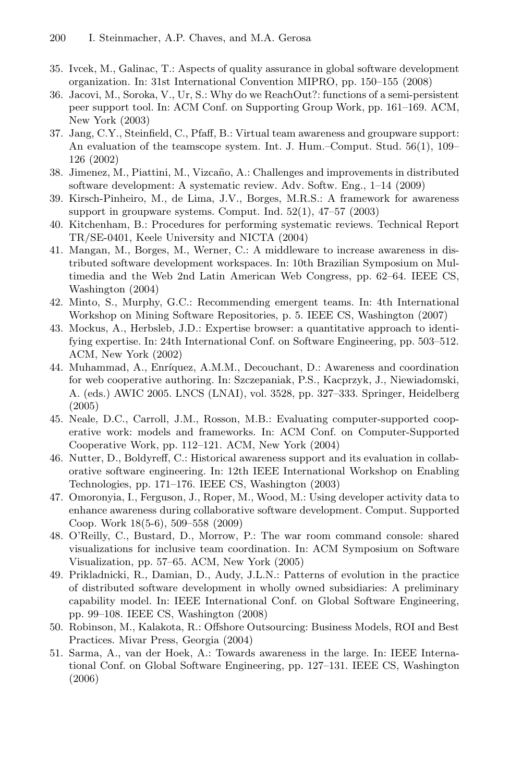- <span id="page-15-14"></span><span id="page-15-9"></span><span id="page-15-8"></span><span id="page-15-3"></span><span id="page-15-1"></span>35. Ivcek, M., Galinac, T.: Aspects of quality assurance in global software development organization. In: 31st International Convention MIPRO, pp. 150–155 (2008)
- <span id="page-15-6"></span>36. Jacovi, M., Soroka, V., Ur, S.: Why do we ReachOut?: functions of a semi-persistent peer support tool. In: ACM Conf. on Supporting Group Work, pp. 161–169. ACM, New York (2003)
- <span id="page-15-15"></span>37. Jang, C.Y., Steinfield, C., Pfaff, B.: Virtual team awareness and groupware support: An evaluation of the teamscope system. Int. J. Hum.–Comput. Stud. 56(1), 109– 126 (2002)
- <span id="page-15-13"></span>38. Jimenez, M., Piattini, M., Vizcaño, A.: Challenges and improvements in distributed software development: A systematic review. Adv. Softw. Eng., 1–14 (2009)
- <span id="page-15-12"></span>39. Kirsch-Pinheiro, M., de Lima, J.V., Borges, M.R.S.: A framework for awareness support in groupware systems. Comput. Ind. 52(1), 47–57 (2003)
- 40. Kitchenham, B.: Procedures for performing systematic reviews. Technical Report TR/SE-0401, Keele University and NICTA (2004)
- <span id="page-15-5"></span>41. Mangan, M., Borges, M., Werner, C.: A middleware to increase awareness in distributed software development workspaces. In: 10th Brazilian Symposium on Multimedia and the Web 2nd Latin American Web Congress, pp. 62–64. IEEE CS, Washington (2004)
- <span id="page-15-4"></span>42. Minto, S., Murphy, G.C.: Recommending emergent teams. In: 4th International Workshop on Mining Software Repositories, p. 5. IEEE CS, Washington (2007)
- <span id="page-15-16"></span>43. Mockus, A., Herbsleb, J.D.: Expertise browser: a quantitative approach to identifying expertise. In: 24th International Conf. on Software Engineering, pp. 503–512. ACM, New York (2002)
- <span id="page-15-7"></span>44. Muhammad, A., Enríquez, A.M.M., Decouchant, D.: Awareness and coordination for web cooperative authoring. In: Szczepaniak, P.S., Kacprzyk, J., Niewiadomski, A. (eds.) AWIC 2005. LNCS (LNAI), vol. 3528, pp. 327–333. Springer, Heidelberg (2005)
- <span id="page-15-11"></span>45. Neale, D.C., Carroll, J.M., Rosson, M.B.: Evaluating computer-supported cooperative work: models and frameworks. In: ACM Conf. on Computer-Supported Cooperative Work, pp. 112–121. ACM, New York (2004)
- <span id="page-15-2"></span>46. Nutter, D., Boldyreff, C.: Historical awareness support and its evaluation in collaborative software engineering. In: 12th IEEE International Workshop on Enabling Technologies, pp. 171–176. IEEE CS, Washington (2003)
- <span id="page-15-0"></span>47. Omoronyia, I., Ferguson, J., Roper, M., Wood, M.: Using developer activity data to enhance awareness during collaborative software development. Comput. Supported Coop. Work 18(5-6), 509–558 (2009)
- <span id="page-15-10"></span>48. O'Reilly, C., Bustard, D., Morrow, P.: The war room command console: shared visualizations for inclusive team coordination. In: ACM Symposium on Software Visualization, pp. 57–65. ACM, New York (2005)
- 49. Prikladnicki, R., Damian, D., Audy, J.L.N.: Patterns of evolution in the practice of distributed software development in wholly owned subsidiaries: A preliminary capability model. In: IEEE International Conf. on Global Software Engineering, pp. 99–108. IEEE CS, Washington (2008)
- 50. Robinson, M., Kalakota, R.: Offshore Outsourcing: Business Models, ROI and Best Practices. Mivar Press, Georgia (2004)
- 51. Sarma, A., van der Hoek, A.: Towards awareness in the large. In: IEEE International Conf. on Global Software Engineering, pp. 127–131. IEEE CS, Washington (2006)